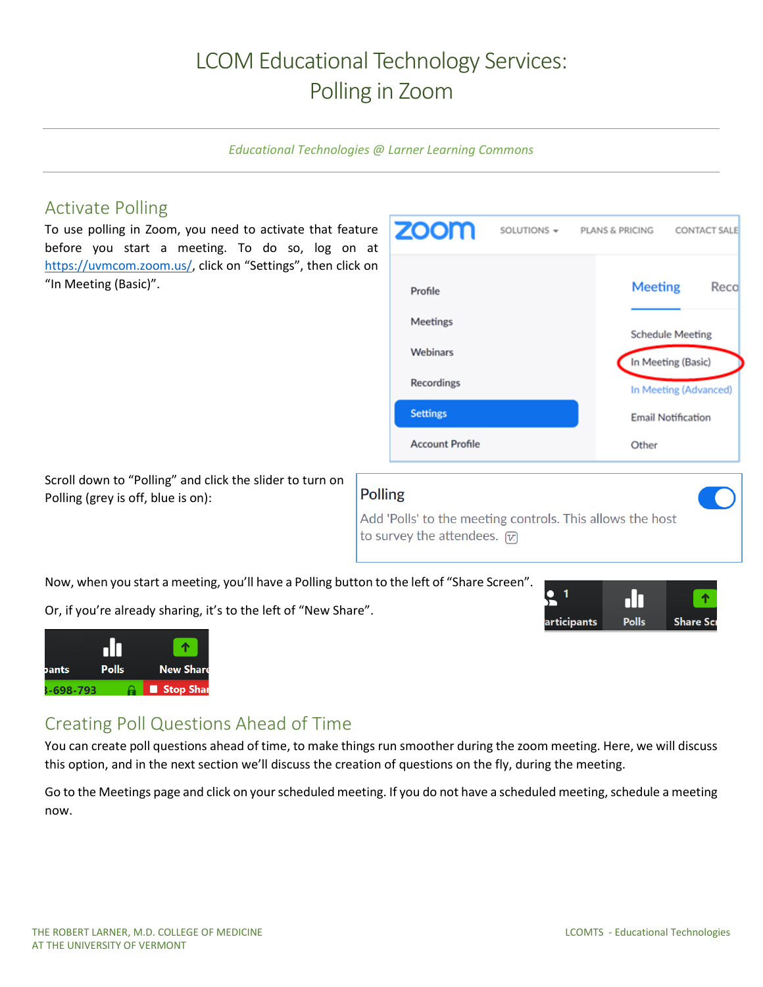## LCOM Educational Technology Services: Polling in Zoom

*Educational Technologies @ Larner Learning Commons*

## Activate Polling

To use polling in Zoom, you need to activate that feature before you start a meeting. To do so, log on at [https://uvmcom.zoom.us/,](https://uvmcom.zoom.us/) click on "Settings", then click on "In Meeting (Basic)".



articipants

Scroll down to "Polling" and click the slider to turn on Polling (grey is off, blue is on):

#### **Polling**

Add 'Polls' to the meeting controls. This allows the host to survey the attendees.  $\boxed{\mathcal{V}}$ 

Now, when you start a meeting, you'll have a Polling button to the left of "Share Screen".

Or, if you're already sharing, it's to the left of "New Share".



# Creating Poll Questions Ahead of Time

You can create poll questions ahead of time, to make things run smoother during the zoom meeting. Here, we will discuss this option, and in the next section we'll discuss the creation of questions on the fly, during the meeting.

Go to the Meetings page and click on your scheduled meeting. If you do not have a scheduled meeting, schedule a meeting now.

пП **Polls**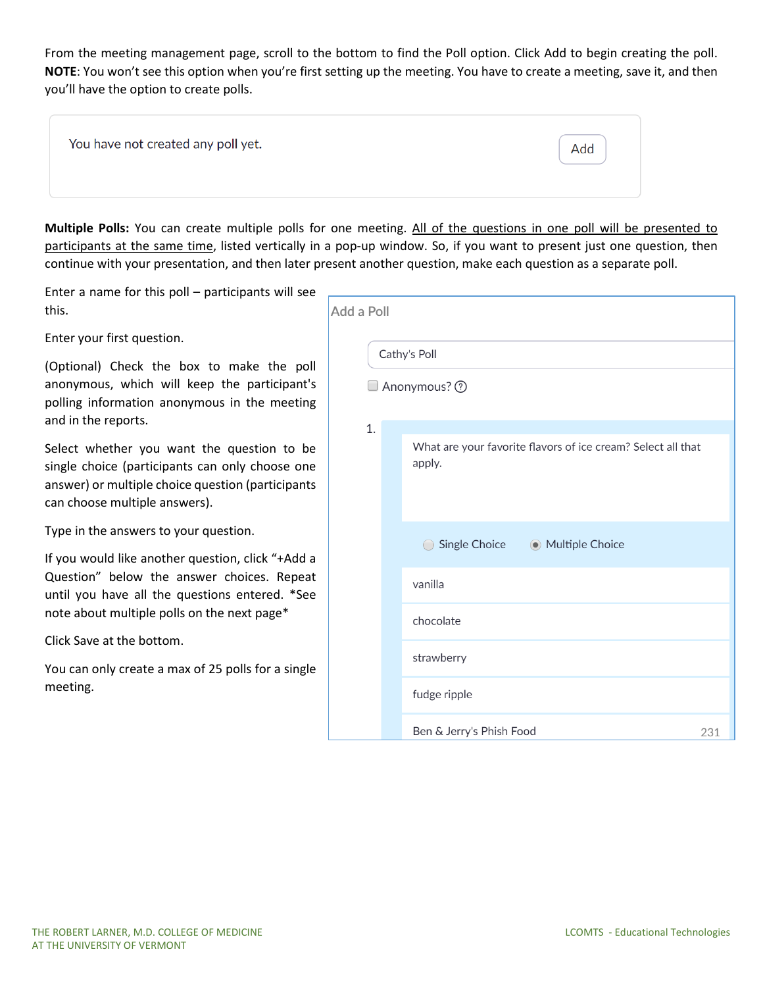From the meeting management page, scroll to the bottom to find the Poll option. Click Add to begin creating the poll. **NOTE**: You won't see this option when you're first setting up the meeting. You have to create a meeting, save it, and then you'll have the option to create polls.

| You have not created any poll yet. |  |  |
|------------------------------------|--|--|
|------------------------------------|--|--|

**Multiple Polls:** You can create multiple polls for one meeting. All of the questions in one poll will be presented to participants at the same time, listed vertically in a pop-up window. So, if you want to present just one question, then continue with your presentation, and then later present another question, make each question as a separate poll.

Enter a name for this poll – participants will see this.

Enter your first question.

(Optional) Check the box to make the poll anonymous, which will keep the participant's polling information anonymous in the meeting and in the reports.

Select whether you want the question to be single choice (participants can only choose one answer) or multiple choice question (participants can choose multiple answers).

Type in the answers to your question.

If you would like another question, click "+Add a Question" below the answer choices. Repeat until you have all the questions entered. \*See note about multiple polls on the next page\*

Click Save at the bottom.

You can only create a max of 25 polls for a single meeting.

| Add a Poll |                                                                        |
|------------|------------------------------------------------------------------------|
|            | Cathy's Poll                                                           |
|            | Anonymous? 2                                                           |
| 1.         | What are your favorite flavors of ice cream? Select all that<br>apply. |
|            | Single Choice @ Multiple Choice<br>$\bigcirc$                          |
|            | vanilla                                                                |
|            | chocolate                                                              |
|            | strawberry                                                             |
|            | fudge ripple                                                           |
|            | Ben & Jerry's Phish Food<br>231                                        |

Add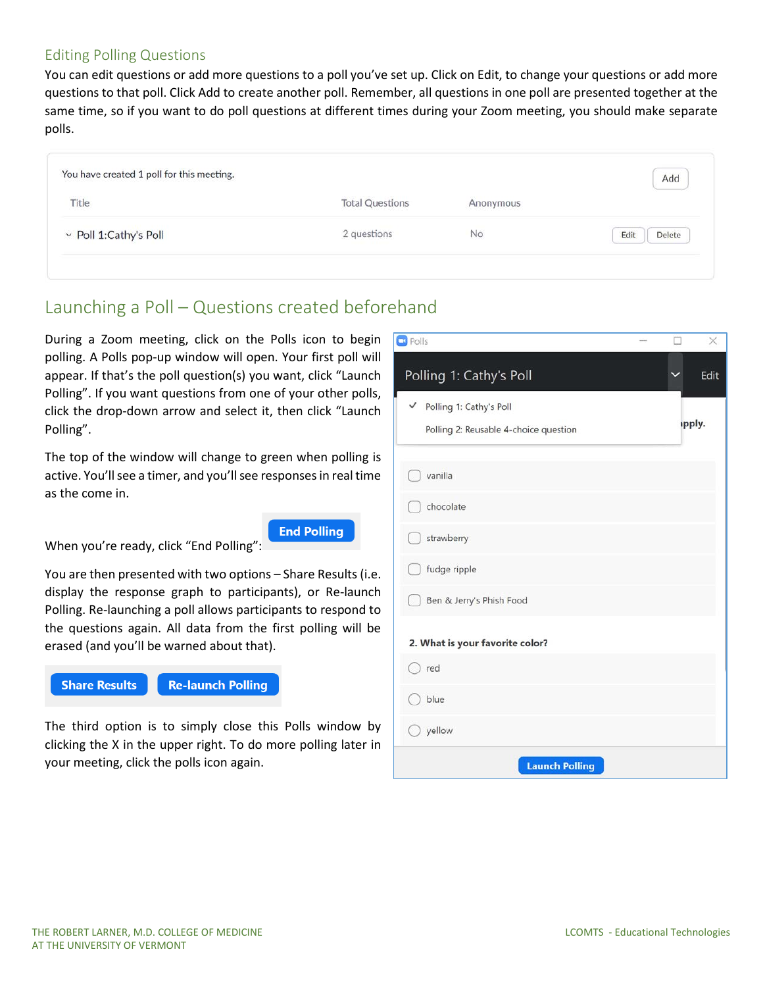#### Editing Polling Questions

You can edit questions or add more questions to a poll you've set up. Click on Edit, to change your questions or add more questions to that poll. Click Add to create another poll. Remember, all questions in one poll are presented together at the same time, so if you want to do poll questions at different times during your Zoom meeting, you should make separate polls.

|                        |                        |           | Add            |
|------------------------|------------------------|-----------|----------------|
| Title                  | <b>Total Questions</b> | Anonymous |                |
| v Poll 1: Cathy's Poll | 2 questions            | No        | Delete<br>Edit |

## Launching a Poll – Questions created beforehand

During a Zoom meeting, click on the Polls icon to begin polling. A Polls pop-up window will open. Your first poll will appear. If that's the poll question(s) you want, click "Launch Polling". If you want questions from one of your other polls, click the drop-down arrow and select it, then click "Launch Polling".

The top of the window will change to green when polling is active. You'll see a timer, and you'll see responses in real time as the come in.

**End Polling** 

When you're ready, click "End Polling":

You are then presented with two options – Share Results (i.e. display the response graph to participants), or Re-launch Polling. Re-launching a poll allows participants to respond to the questions again. All data from the first polling will be erased (and you'll be warned about that).



The third option is to simply close this Polls window by clicking the X in the upper right. To do more polling later in your meeting, click the polls icon again.

| $\Box$ Polls                                                          | $\times$ |
|-----------------------------------------------------------------------|----------|
| Polling 1: Cathy's Poll                                               | Edit     |
| ✓<br>Polling 1: Cathy's Poll<br>Polling 2: Reusable 4-choice question | ipply.   |
| vanilla                                                               |          |
| chocolate                                                             |          |
| strawberry                                                            |          |
| fudge ripple                                                          |          |
| Ben & Jerry's Phish Food                                              |          |
| 2. What is your favorite color?                                       |          |
| red                                                                   |          |
| blue                                                                  |          |
| yellow                                                                |          |
| <b>Launch Polling</b>                                                 |          |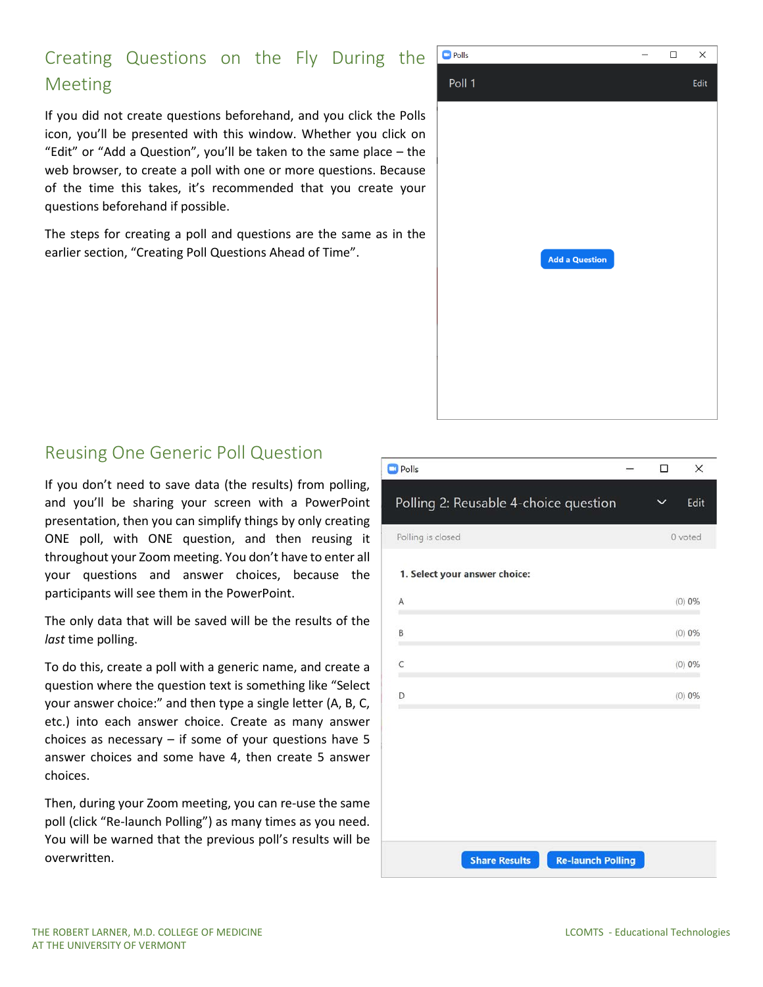## Creating Questions on the Fly During the Meeting

If you did not create questions beforehand, and you click the Polls icon, you'll be presented with this window. Whether you click on "Edit" or "Add a Question", you'll be taken to the same place – the web browser, to create a poll with one or more questions. Because of the time this takes, it's recommended that you create your questions beforehand if possible.

The steps for creating a poll and questions are the same as in the earlier section, "Creating Poll Questions Ahead of Time".



## Reusing One Generic Poll Question

If you don't need to save data (the results) from polling, and you'll be sharing your screen with a PowerPoint presentation, then you can simplify things by only creating ONE poll, with ONE question, and then reusing it throughout your Zoom meeting. You don't have to enter all your questions and answer choices, because the participants will see them in the PowerPoint.

The only data that will be saved will be the results of the *last* time polling.

To do this, create a poll with a generic name, and create a question where the question text is something like "Select your answer choice:" and then type a single letter (A, B, C, etc.) into each answer choice. Create as many answer choices as necessary – if some of your questions have 5 answer choices and some have 4, then create 5 answer choices.

Then, during your Zoom meeting, you can re-use the same poll (click "Re-launch Polling") as many times as you need. You will be warned that the previous poll's results will be overwritten.

| □           | X        |
|-------------|----------|
| $\check{ }$ | Edit     |
|             | 0 voted  |
|             |          |
|             | $(0)$ 0% |
|             | $(0)$ 0% |
|             | $(0)$ 0% |
|             | $(0)$ 0% |
|             |          |
|             |          |
|             |          |
|             |          |
|             |          |
|             |          |